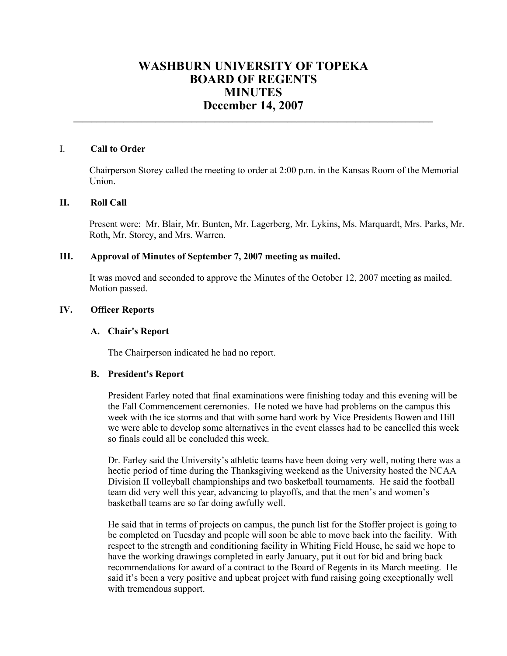# **WASHBURN UNIVERSITY OF TOPEKA BOARD OF REGENTS MINUTES December 14, 2007**

**\_\_\_\_\_\_\_\_\_\_\_\_\_\_\_\_\_\_\_\_\_\_\_\_\_\_\_\_\_\_\_\_\_\_\_\_\_\_\_\_\_\_\_\_\_\_\_\_\_\_\_\_\_\_\_\_\_\_\_\_\_\_\_\_\_\_\_\_\_\_\_\_\_\_\_\_\_\_\_**

## I. **Call to Order**

Chairperson Storey called the meeting to order at 2:00 p.m. in the Kansas Room of the Memorial Union.

## **II. Roll Call**

Present were: Mr. Blair, Mr. Bunten, Mr. Lagerberg, Mr. Lykins, Ms. Marquardt, Mrs. Parks, Mr. Roth, Mr. Storey, and Mrs. Warren.

## **III. Approval of Minutes of September 7, 2007 meeting as mailed.**

It was moved and seconded to approve the Minutes of the October 12, 2007 meeting as mailed. Motion passed.

# **IV. Officer Reports**

## **A. Chair's Report**

The Chairperson indicated he had no report.

## **B. President's Report**

President Farley noted that final examinations were finishing today and this evening will be the Fall Commencement ceremonies. He noted we have had problems on the campus this week with the ice storms and that with some hard work by Vice Presidents Bowen and Hill we were able to develop some alternatives in the event classes had to be cancelled this week so finals could all be concluded this week.

Dr. Farley said the University's athletic teams have been doing very well, noting there was a hectic period of time during the Thanksgiving weekend as the University hosted the NCAA Division II volleyball championships and two basketball tournaments. He said the football team did very well this year, advancing to playoffs, and that the men's and women's basketball teams are so far doing awfully well.

He said that in terms of projects on campus, the punch list for the Stoffer project is going to be completed on Tuesday and people will soon be able to move back into the facility. With respect to the strength and conditioning facility in Whiting Field House, he said we hope to have the working drawings completed in early January, put it out for bid and bring back recommendations for award of a contract to the Board of Regents in its March meeting. He said it's been a very positive and upbeat project with fund raising going exceptionally well with tremendous support.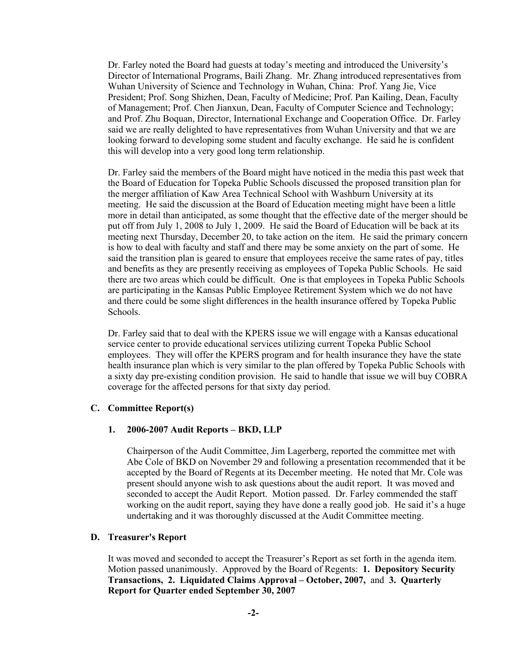Dr. Farley noted the Board had guests at today's meeting and introduced the University's Director of International Programs, Baili Zhang. Mr. Zhang introduced representatives from Wuhan University of Science and Technology in Wuhan, China: Prof. Yang Jie, Vice President; Prof. Song Shizhen, Dean, Faculty of Medicine; Prof. Pan Kailing, Dean, Faculty of Management; Prof. Chen Jianxun, Dean, Faculty of Computer Science and Technology; and Prof. Zhu Boquan, Director, International Exchange and Cooperation Office. Dr. Farley said we are really delighted to have representatives from Wuhan University and that we are looking forward to developing some student and faculty exchange. He said he is confident this will develop into a very good long term relationship.

Dr. Farley said the members of the Board might have noticed in the media this past week that the Board of Education for Topeka Public Schools discussed the proposed transition plan for the merger affiliation of Kaw Area Technical School with Washburn University at its meeting. He said the discussion at the Board of Education meeting might have been a little more in detail than anticipated, as some thought that the effective date of the merger should be put off from July 1, 2008 to July 1, 2009. He said the Board of Education will be back at its meeting next Thursday, December 20, to take action on the item. He said the primary concern is how to deal with faculty and staff and there may be some anxiety on the part of some. He said the transition plan is geared to ensure that employees receive the same rates of pay, titles and benefits as they are presently receiving as employees of Topeka Public Schools. He said there are two areas which could be difficult. One is that employees in Topeka Public Schools are participating in the Kansas Public Employee Retirement System which we do not have and there could be some slight differences in the health insurance offered by Topeka Public Schools.

Dr. Farley said that to deal with the KPERS issue we will engage with a Kansas educational service center to provide educational services utilizing current Topeka Public School employees. They will offer the KPERS program and for health insurance they have the state health insurance plan which is very similar to the plan offered by Topeka Public Schools with a sixty day pre-existing condition provision. He said to handle that issue we will buy COBRA coverage for the affected persons for that sixty day period.

## **C. Committee Report(s)**

#### **1. 2006-2007 Audit Reports – BKD, LLP**

Chairperson of the Audit Committee, Jim Lagerberg, reported the committee met with Abe Cole of BKD on November 29 and following a presentation recommended that it be accepted by the Board of Regents at its December meeting. He noted that Mr. Cole was present should anyone wish to ask questions about the audit report. It was moved and seconded to accept the Audit Report. Motion passed. Dr. Farley commended the staff working on the audit report, saying they have done a really good job. He said it's a huge undertaking and it was thoroughly discussed at the Audit Committee meeting.

## **D. Treasurer's Report**

It was moved and seconded to accept the Treasurer's Report as set forth in the agenda item. Motion passed unanimously. Approved by the Board of Regents: **1. Depository Security Transactions, 2. Liquidated Claims Approval – October, 2007,** and **3. Quarterly Report for Quarter ended September 30, 2007**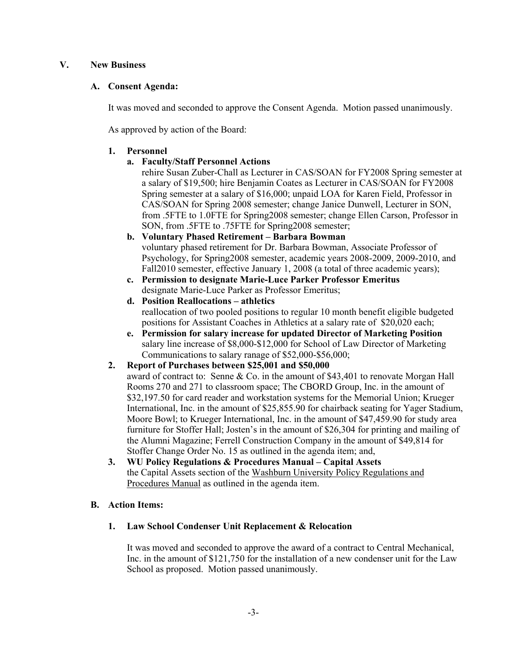## **V. New Business**

## **A. Consent Agenda:**

It was moved and seconded to approve the Consent Agenda. Motion passed unanimously.

As approved by action of the Board:

## **1. Personnel**

# **a. Faculty/Staff Personnel Actions**

rehire Susan Zuber-Chall as Lecturer in CAS/SOAN for FY2008 Spring semester at a salary of \$19,500; hire Benjamin Coates as Lecturer in CAS/SOAN for FY2008 Spring semester at a salary of \$16,000; unpaid LOA for Karen Field, Professor in CAS/SOAN for Spring 2008 semester; change Janice Dunwell, Lecturer in SON, from .5FTE to 1.0FTE for Spring2008 semester; change Ellen Carson, Professor in SON, from .5FTE to .75FTE for Spring2008 semester;

- **b. Voluntary Phased Retirement Barbara Bowman**  voluntary phased retirement for Dr. Barbara Bowman, Associate Professor of Psychology, for Spring2008 semester, academic years 2008-2009, 2009-2010, and Fall2010 semester, effective January 1, 2008 (a total of three academic years);
- **c. Permission to designate Marie-Luce Parker Professor Emeritus**  designate Marie-Luce Parker as Professor Emeritus;
- **d. Position Reallocations athletics**  reallocation of two pooled positions to regular 10 month benefit eligible budgeted positions for Assistant Coaches in Athletics at a salary rate of \$20,020 each;
- **e. Permission for salary increase for updated Director of Marketing Position**  salary line increase of \$8,000-\$12,000 for School of Law Director of Marketing Communications to salary ranage of \$52,000-\$56,000;
- **2. Report of Purchases between \$25,001 and \$50,000** 
	- award of contract to: Senne & Co. in the amount of \$43,401 to renovate Morgan Hall Rooms 270 and 271 to classroom space; The CBORD Group, Inc. in the amount of \$32,197.50 for card reader and workstation systems for the Memorial Union; Krueger International, Inc. in the amount of \$25,855.90 for chairback seating for Yager Stadium, Moore Bowl; to Krueger International, Inc. in the amount of \$47,459.90 for study area furniture for Stoffer Hall; Josten's in the amount of \$26,304 for printing and mailing of the Alumni Magazine; Ferrell Construction Company in the amount of \$49,814 for Stoffer Change Order No. 15 as outlined in the agenda item; and,
- **3. WU Policy Regulations & Procedures Manual Capital Assets**  the Capital Assets section of the Washburn University Policy Regulations and Procedures Manual as outlined in the agenda item.

# **B. Action Items:**

# **1. Law School Condenser Unit Replacement & Relocation**

It was moved and seconded to approve the award of a contract to Central Mechanical, Inc. in the amount of \$121,750 for the installation of a new condenser unit for the Law School as proposed. Motion passed unanimously.